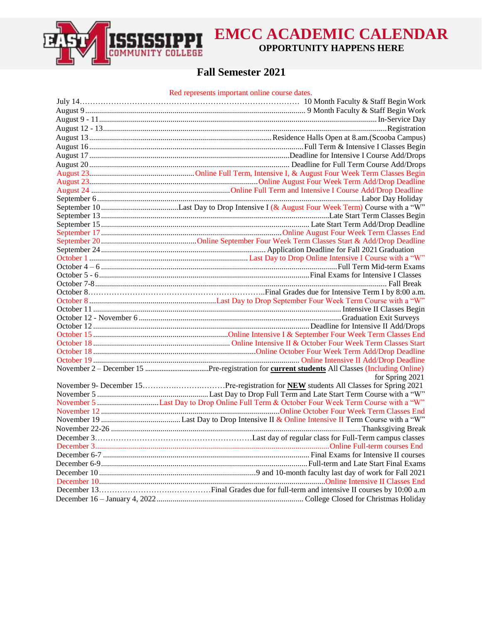

## **EMCC ACADEMIC CALENDAR OPPORTUNITY HAPPENS HERE**

## **Fall Semester 2021**

Red represents important online course dates.

| for Spring 2021                                                                         |
|-----------------------------------------------------------------------------------------|
|                                                                                         |
|                                                                                         |
| November 5 Last Day to Drop Online Full Term & October Four Week Term Course with a "W" |
|                                                                                         |
|                                                                                         |
|                                                                                         |
|                                                                                         |
|                                                                                         |
|                                                                                         |
|                                                                                         |
|                                                                                         |
|                                                                                         |
|                                                                                         |
|                                                                                         |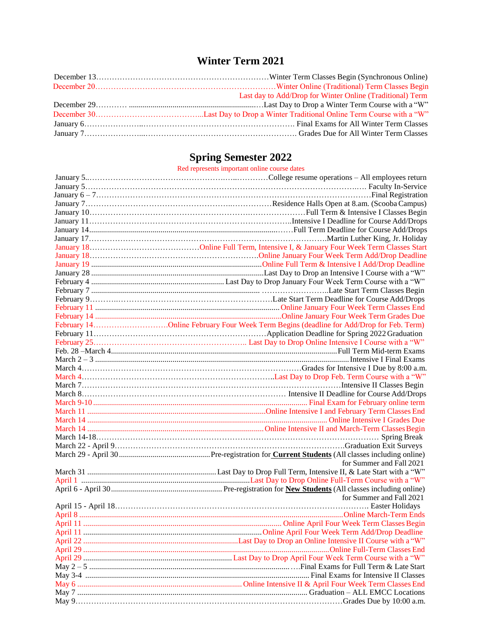# **Winter Term 2021**

| Last day to Add/Drop for Winter Online (Traditional) Term |
|-----------------------------------------------------------|
|                                                           |
|                                                           |
|                                                           |
|                                                           |

#### **Spring Semester 2022**

| Red represents important online course dates |
|----------------------------------------------|
| $C_{\Omega}$ llege resume                    |

| for Summer and Fall 2021 |
|--------------------------|
|                          |
|                          |
|                          |
| for Summer and Fall 2021 |
|                          |
|                          |
|                          |
|                          |
|                          |
|                          |
|                          |
|                          |
|                          |
|                          |
|                          |
|                          |